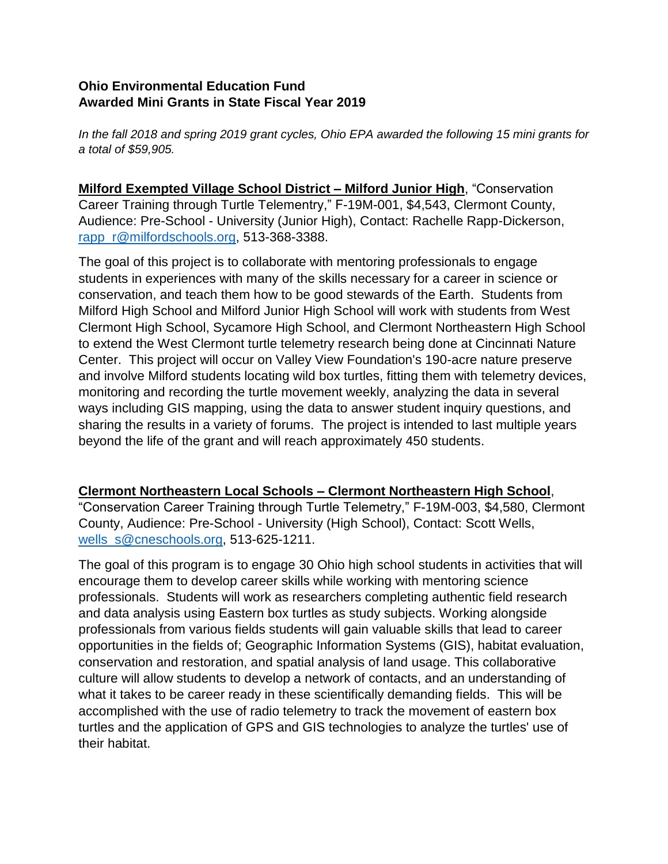## **Ohio Environmental Education Fund Awarded Mini Grants in State Fiscal Year 2019**

*In the fall 2018 and spring 2019 grant cycles, Ohio EPA awarded the following 15 mini grants for a total of \$59,905.* 

**Milford Exempted Village School District – Milford Junior High**, "Conservation Career Training through Turtle Telementry," F-19M-001, \$4,543, Clermont County, Audience: Pre-School - University (Junior High), Contact: Rachelle Rapp-Dickerson, [rapp\\_r@milfordschools.org,](mailto:rapp_r@milfordschools.org) 513-368-3388.

The goal of this project is to collaborate with mentoring professionals to engage students in experiences with many of the skills necessary for a career in science or conservation, and teach them how to be good stewards of the Earth. Students from Milford High School and Milford Junior High School will work with students from West Clermont High School, Sycamore High School, and Clermont Northeastern High School to extend the West Clermont turtle telemetry research being done at Cincinnati Nature Center. This project will occur on Valley View Foundation's 190-acre nature preserve and involve Milford students locating wild box turtles, fitting them with telemetry devices, monitoring and recording the turtle movement weekly, analyzing the data in several ways including GIS mapping, using the data to answer student inquiry questions, and sharing the results in a variety of forums. The project is intended to last multiple years beyond the life of the grant and will reach approximately 450 students.

## **Clermont Northeastern Local Schools – Clermont Northeastern High School**,

"Conservation Career Training through Turtle Telemetry," F-19M-003, \$4,580, Clermont County, Audience: Pre-School - University (High School), Contact: Scott Wells, [wells\\_s@cneschools.org,](mailto:wells_s@cneschools.org) 513-625-1211.

The goal of this program is to engage 30 Ohio high school students in activities that will encourage them to develop career skills while working with mentoring science professionals. Students will work as researchers completing authentic field research and data analysis using Eastern box turtles as study subjects. Working alongside professionals from various fields students will gain valuable skills that lead to career opportunities in the fields of; Geographic Information Systems (GIS), habitat evaluation, conservation and restoration, and spatial analysis of land usage. This collaborative culture will allow students to develop a network of contacts, and an understanding of what it takes to be career ready in these scientifically demanding fields. This will be accomplished with the use of radio telemetry to track the movement of eastern box turtles and the application of GPS and GIS technologies to analyze the turtles' use of their habitat.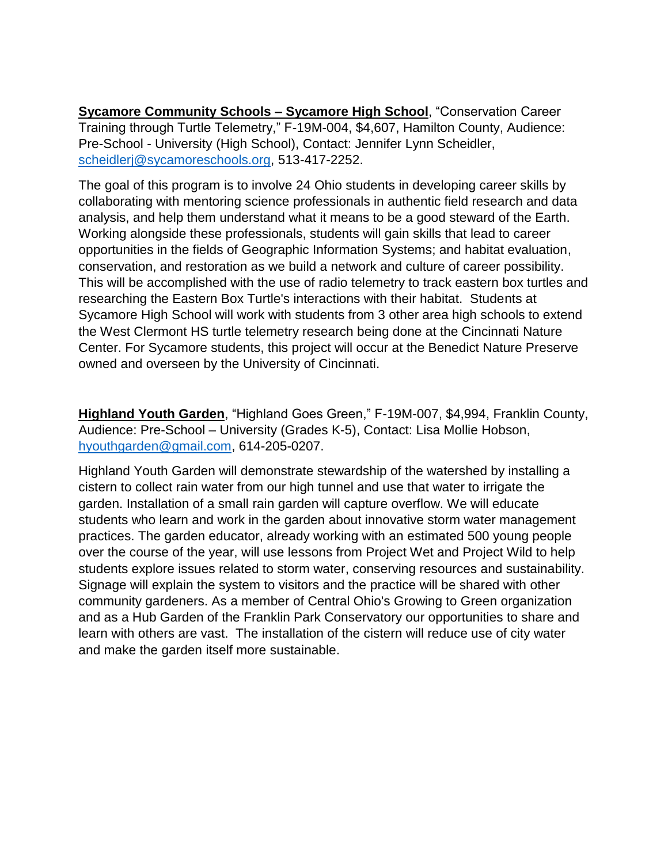**Sycamore Community Schools – Sycamore High School**, "Conservation Career Training through Turtle Telemetry," F-19M-004, \$4,607, Hamilton County, Audience: Pre-School - University (High School), Contact: Jennifer Lynn Scheidler, [scheidlerj@sycamoreschools.org,](mailto:scheidlerj@sycamoreschools.org) 513-417-2252.

The goal of this program is to involve 24 Ohio students in developing career skills by collaborating with mentoring science professionals in authentic field research and data analysis, and help them understand what it means to be a good steward of the Earth. Working alongside these professionals, students will gain skills that lead to career opportunities in the fields of Geographic Information Systems; and habitat evaluation, conservation, and restoration as we build a network and culture of career possibility. This will be accomplished with the use of radio telemetry to track eastern box turtles and researching the Eastern Box Turtle's interactions with their habitat. Students at Sycamore High School will work with students from 3 other area high schools to extend the West Clermont HS turtle telemetry research being done at the Cincinnati Nature Center. For Sycamore students, this project will occur at the Benedict Nature Preserve owned and overseen by the University of Cincinnati.

**Highland Youth Garden**, "Highland Goes Green," F-19M-007, \$4,994, Franklin County, Audience: Pre-School – University (Grades K-5), Contact: Lisa Mollie Hobson, [hyouthgarden@gmail.com,](mailto:hyouthgarden@gmail.com) 614-205-0207.

Highland Youth Garden will demonstrate stewardship of the watershed by installing a cistern to collect rain water from our high tunnel and use that water to irrigate the garden. Installation of a small rain garden will capture overflow. We will educate students who learn and work in the garden about innovative storm water management practices. The garden educator, already working with an estimated 500 young people over the course of the year, will use lessons from Project Wet and Project Wild to help students explore issues related to storm water, conserving resources and sustainability. Signage will explain the system to visitors and the practice will be shared with other community gardeners. As a member of Central Ohio's Growing to Green organization and as a Hub Garden of the Franklin Park Conservatory our opportunities to share and learn with others are vast. The installation of the cistern will reduce use of city water and make the garden itself more sustainable.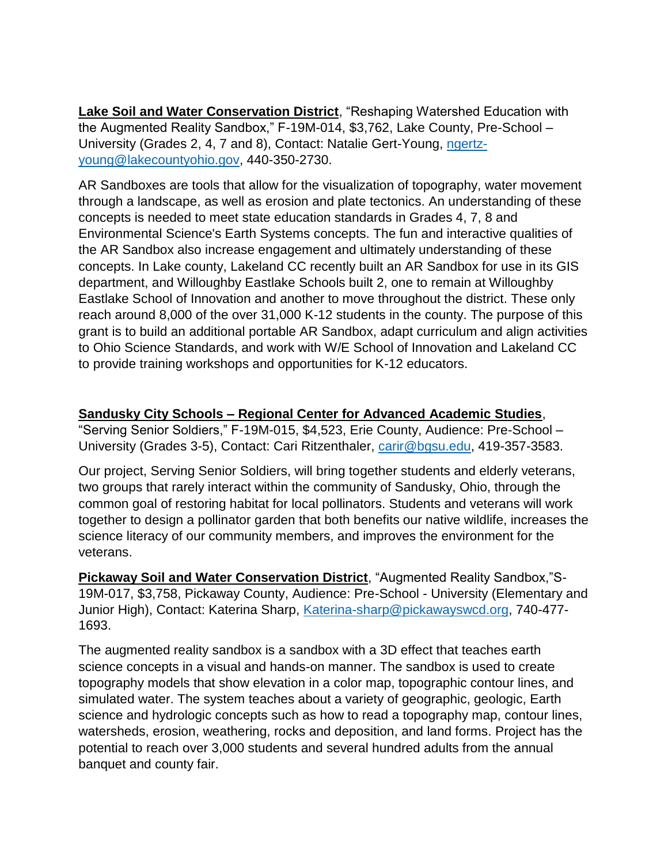**Lake Soil and Water Conservation District**, "Reshaping Watershed Education with the Augmented Reality Sandbox," F-19M-014, \$3,762, Lake County, Pre-School – University (Grades 2, 4, 7 and 8), Contact: Natalie Gert-Young, [ngertz](mailto:ngertz-young@lakecountyohio.gov)[young@lakecountyohio.gov,](mailto:ngertz-young@lakecountyohio.gov) 440-350-2730.

AR Sandboxes are tools that allow for the visualization of topography, water movement through a landscape, as well as erosion and plate tectonics. An understanding of these concepts is needed to meet state education standards in Grades 4, 7, 8 and Environmental Science's Earth Systems concepts. The fun and interactive qualities of the AR Sandbox also increase engagement and ultimately understanding of these concepts. In Lake county, Lakeland CC recently built an AR Sandbox for use in its GIS department, and Willoughby Eastlake Schools built 2, one to remain at Willoughby Eastlake School of Innovation and another to move throughout the district. These only reach around 8,000 of the over 31,000 K-12 students in the county. The purpose of this grant is to build an additional portable AR Sandbox, adapt curriculum and align activities to Ohio Science Standards, and work with W/E School of Innovation and Lakeland CC to provide training workshops and opportunities for K-12 educators.

## **Sandusky City Schools – Regional Center for Advanced Academic Studies**,

"Serving Senior Soldiers," F-19M-015, \$4,523, Erie County, Audience: Pre-School – University (Grades 3-5), Contact: Cari Ritzenthaler, [carir@bgsu.edu,](mailto:carir@bgsu.edu) 419-357-3583.

Our project, Serving Senior Soldiers, will bring together students and elderly veterans, two groups that rarely interact within the community of Sandusky, Ohio, through the common goal of restoring habitat for local pollinators. Students and veterans will work together to design a pollinator garden that both benefits our native wildlife, increases the science literacy of our community members, and improves the environment for the veterans.

**Pickaway Soil and Water Conservation District**, "Augmented Reality Sandbox,"S-19M-017, \$3,758, Pickaway County, Audience: Pre-School - University (Elementary and Junior High), Contact: Katerina Sharp, [Katerina-sharp@pickawayswcd.org,](mailto:Katerina-sharp@pickawayswcd.org) 740-477- 1693.

The augmented reality sandbox is a sandbox with a 3D effect that teaches earth science concepts in a visual and hands-on manner. The sandbox is used to create topography models that show elevation in a color map, topographic contour lines, and simulated water. The system teaches about a variety of geographic, geologic, Earth science and hydrologic concepts such as how to read a topography map, contour lines, watersheds, erosion, weathering, rocks and deposition, and land forms. Project has the potential to reach over 3,000 students and several hundred adults from the annual banquet and county fair.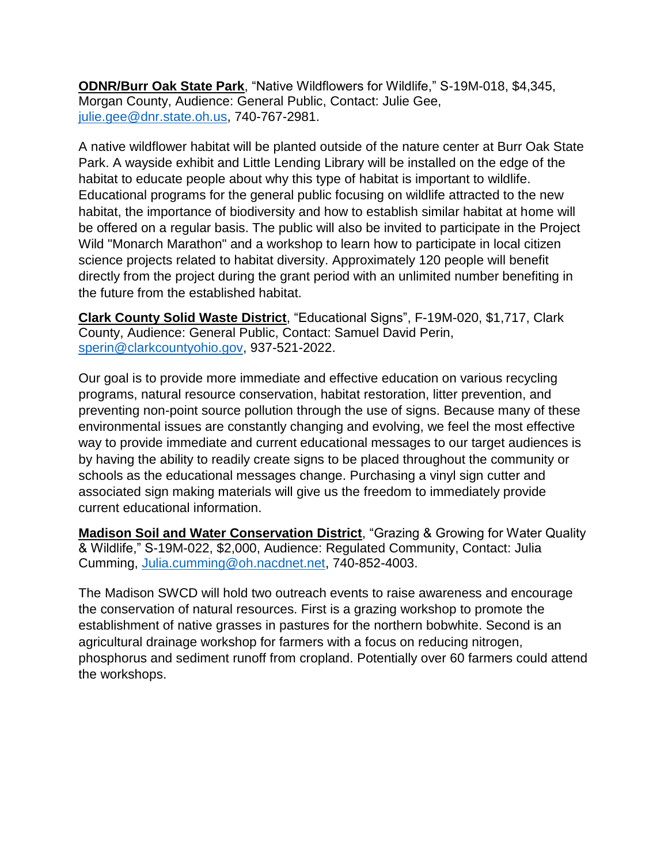**ODNR/Burr Oak State Park**, "Native Wildflowers for Wildlife," S-19M-018, \$4,345, Morgan County, Audience: General Public, Contact: Julie Gee, [julie.gee@dnr.state.oh.us,](mailto:julie.gee@dnr.state.oh.us) 740-767-2981.

A native wildflower habitat will be planted outside of the nature center at Burr Oak State Park. A wayside exhibit and Little Lending Library will be installed on the edge of the habitat to educate people about why this type of habitat is important to wildlife. Educational programs for the general public focusing on wildlife attracted to the new habitat, the importance of biodiversity and how to establish similar habitat at home will be offered on a regular basis. The public will also be invited to participate in the Project Wild "Monarch Marathon" and a workshop to learn how to participate in local citizen science projects related to habitat diversity. Approximately 120 people will benefit directly from the project during the grant period with an unlimited number benefiting in the future from the established habitat.

**Clark County Solid Waste District**, "Educational Signs", F-19M-020, \$1,717, Clark County, Audience: General Public, Contact: Samuel David Perin, [sperin@clarkcountyohio.gov,](mailto:sperin@clarkcountyohio.gov) 937-521-2022.

Our goal is to provide more immediate and effective education on various recycling programs, natural resource conservation, habitat restoration, litter prevention, and preventing non-point source pollution through the use of signs. Because many of these environmental issues are constantly changing and evolving, we feel the most effective way to provide immediate and current educational messages to our target audiences is by having the ability to readily create signs to be placed throughout the community or schools as the educational messages change. Purchasing a vinyl sign cutter and associated sign making materials will give us the freedom to immediately provide current educational information.

**Madison Soil and Water Conservation District**, "Grazing & Growing for Water Quality & Wildlife," S-19M-022, \$2,000, Audience: Regulated Community, Contact: Julia Cumming, [Julia.cumming@oh.nacdnet.net,](mailto:Julia.cumming@oh.nacdnet.net) 740-852-4003.

The Madison SWCD will hold two outreach events to raise awareness and encourage the conservation of natural resources. First is a grazing workshop to promote the establishment of native grasses in pastures for the northern bobwhite. Second is an agricultural drainage workshop for farmers with a focus on reducing nitrogen, phosphorus and sediment runoff from cropland. Potentially over 60 farmers could attend the workshops.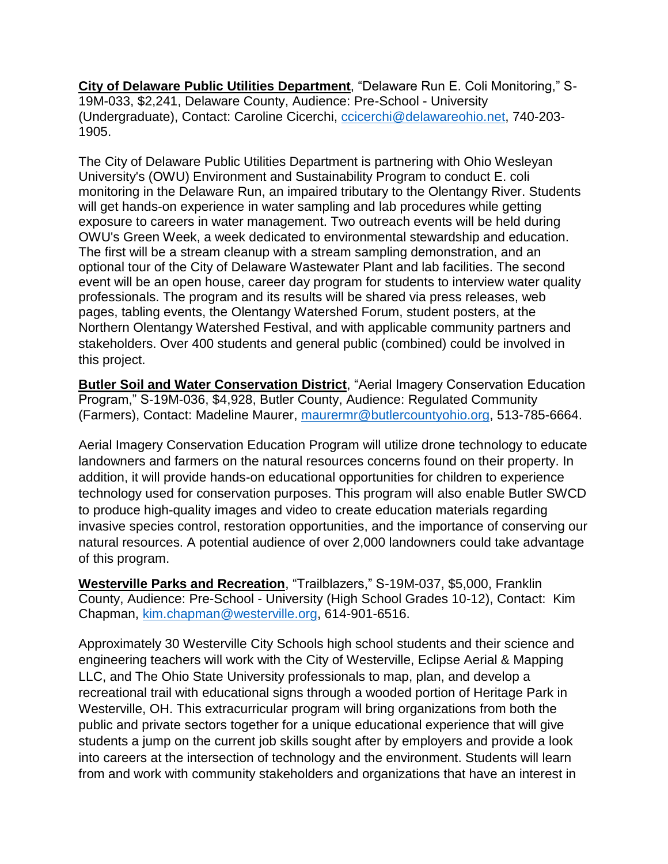**City of Delaware Public Utilities Department**, "Delaware Run E. Coli Monitoring," S-19M-033, \$2,241, Delaware County, Audience: Pre-School - University (Undergraduate), Contact: Caroline Cicerchi, [ccicerchi@delawareohio.net,](mailto:ccicerchi@delawareohio.net) 740-203- 1905.

The City of Delaware Public Utilities Department is partnering with Ohio Wesleyan University's (OWU) Environment and Sustainability Program to conduct E. coli monitoring in the Delaware Run, an impaired tributary to the Olentangy River. Students will get hands-on experience in water sampling and lab procedures while getting exposure to careers in water management. Two outreach events will be held during OWU's Green Week, a week dedicated to environmental stewardship and education. The first will be a stream cleanup with a stream sampling demonstration, and an optional tour of the City of Delaware Wastewater Plant and lab facilities. The second event will be an open house, career day program for students to interview water quality professionals. The program and its results will be shared via press releases, web pages, tabling events, the Olentangy Watershed Forum, student posters, at the Northern Olentangy Watershed Festival, and with applicable community partners and stakeholders. Over 400 students and general public (combined) could be involved in this project.

**Butler Soil and Water Conservation District**, "Aerial Imagery Conservation Education Program," S-19M-036, \$4,928, Butler County, Audience: Regulated Community (Farmers), Contact: Madeline Maurer, [maurermr@butlercountyohio.org,](mailto:maurermr@butlercountyohio.org) 513-785-6664.

Aerial Imagery Conservation Education Program will utilize drone technology to educate landowners and farmers on the natural resources concerns found on their property. In addition, it will provide hands-on educational opportunities for children to experience technology used for conservation purposes. This program will also enable Butler SWCD to produce high-quality images and video to create education materials regarding invasive species control, restoration opportunities, and the importance of conserving our natural resources. A potential audience of over 2,000 landowners could take advantage of this program.

**Westerville Parks and Recreation**, "Trailblazers," S-19M-037, \$5,000, Franklin County, Audience: Pre-School - University (High School Grades 10-12), Contact: Kim Chapman, [kim.chapman@westerville.org,](mailto:kim.chapman@westerville.org) 614-901-6516.

Approximately 30 Westerville City Schools high school students and their science and engineering teachers will work with the City of Westerville, Eclipse Aerial & Mapping LLC, and The Ohio State University professionals to map, plan, and develop a recreational trail with educational signs through a wooded portion of Heritage Park in Westerville, OH. This extracurricular program will bring organizations from both the public and private sectors together for a unique educational experience that will give students a jump on the current job skills sought after by employers and provide a look into careers at the intersection of technology and the environment. Students will learn from and work with community stakeholders and organizations that have an interest in